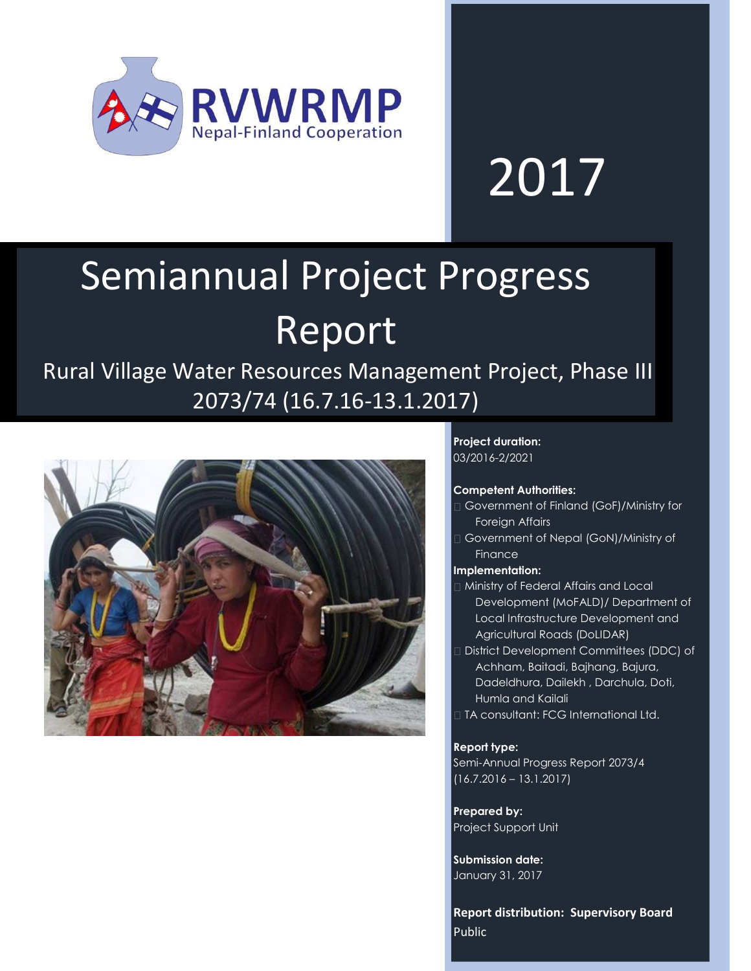

# 2017

# Semiannual Project Progress Report

Rural Village Water Resources Management Project, Phase III 2073/74 (16.7.16-13.1.2017)



**Project duration:** 03/2016-2/2021

#### **Competent Authorities:**

- Government of Finland (GoF)/Ministry for Foreign Affairs
- Government of Nepal (GoN)/Ministry of Finance

#### **Implementation:**

- Ministry of Federal Affairs and Local Development (MoFALD)/ Department of Local Infrastructure Development and Agricultural Roads (DoLIDAR)
- District Development Committees (DDC) of Achham, Baitadi, Bajhang, Bajura, Dadeldhura, Dailekh , Darchula, Doti, Humla and Kailali
- TA consultant: FCG International Ltd.

#### **Report type:**

Semi-Annual Progress Report 2073/4 (16.7.2016 – 13.1.2017)

**Prepared by:** Project Support Unit

**Submission date:** January 31, 2017

**Report distribution: Supervisory Board** Public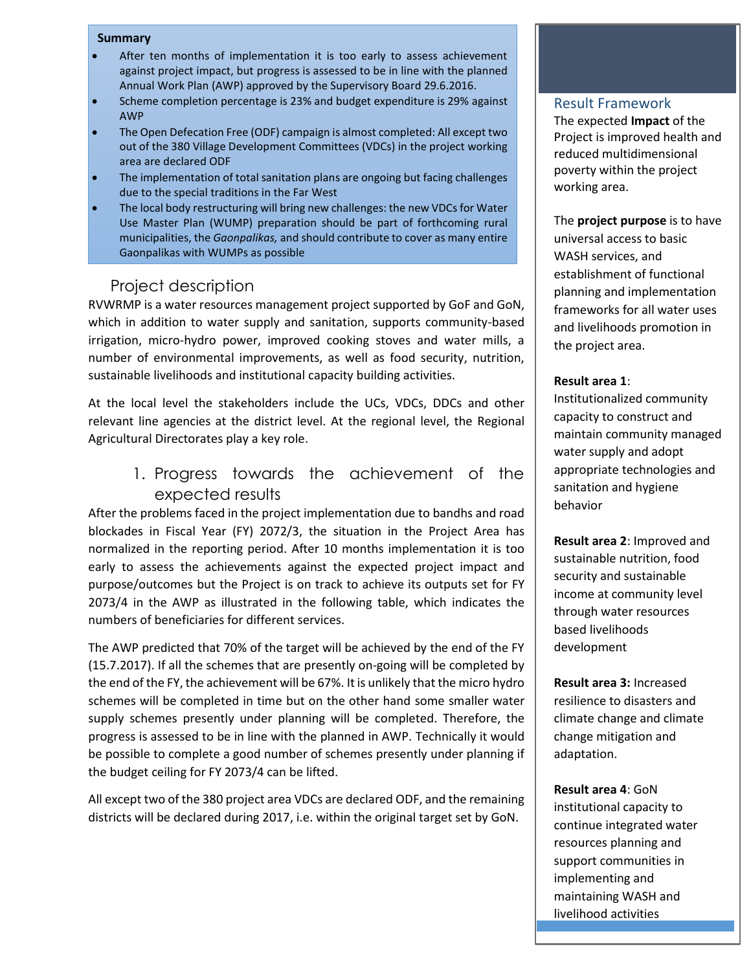#### **Summary**

- After ten months of implementation it is too early to assess achievement against project impact, but progress is assessed to be in line with the planned Annual Work Plan (AWP) approved by the Supervisory Board 29.6.2016.
- Scheme completion percentage is 23% and budget expenditure is 29% against AWP
- The Open Defecation Free (ODF) campaign is almost completed: All except two out of the 380 Village Development Committees (VDCs) in the project working area are declared ODF
- The implementation of total sanitation plans are ongoing but facing challenges due to the special traditions in the Far West
- The local body restructuring will bring new challenges: the new VDCs for Water Use Master Plan (WUMP) preparation should be part of forthcoming rural municipalities, the *Gaonpalikas,* and should contribute to cover as many entire Gaonpalikas with WUMPs as possible

## Project description

RVWRMP is a water resources management project supported by GoF and GoN, which in addition to water supply and sanitation, supports community-based irrigation, micro-hydro power, improved cooking stoves and water mills, a number of environmental improvements, as well as food security, nutrition, sustainable livelihoods and institutional capacity building activities.

At the local level the stakeholders include the UCs, VDCs, DDCs and other relevant line agencies at the district level. At the regional level, the Regional Agricultural Directorates play a key role.

> 1. Progress towards the achievement of the expected results

After the problems faced in the project implementation due to bandhs and road blockades in Fiscal Year (FY) 2072/3, the situation in the Project Area has normalized in the reporting period. After 10 months implementation it is too early to assess the achievements against the expected project impact and purpose/outcomes but the Project is on track to achieve its outputs set for FY 2073/4 in the AWP as illustrated in the following table, which indicates the numbers of beneficiaries for different services.

The AWP predicted that 70% of the target will be achieved by the end of the FY (15.7.2017). If all the schemes that are presently on-going will be completed by the end of the FY, the achievement will be 67%. It is unlikely that the micro hydro schemes will be completed in time but on the other hand some smaller water supply schemes presently under planning will be completed. Therefore, the progress is assessed to be in line with the planned in AWP. Technically it would be possible to complete a good number of schemes presently under planning if the budget ceiling for FY 2073/4 can be lifted.

All except two of the 380 project area VDCs are declared ODF, and the remaining districts will be declared during 2017, i.e. within the original target set by GoN.

#### Result Framework

The expected **Impact** of the Project is improved health and reduced multidimensional poverty within the project working area.

The **project purpose** is to have universal access to basic WASH services, and establishment of functional planning and implementation frameworks for all water uses and livelihoods promotion in the project area.

#### **Result area 1**:

Institutionalized community capacity to construct and maintain community managed water supply and adopt appropriate technologies and sanitation and hygiene behavior

**Result area 2**: Improved and sustainable nutrition, food security and sustainable income at community level through water resources based livelihoods development

**Result area 3:** Increased resilience to disasters and climate change and climate change mitigation and adaptation.

maintaining WASH and **Result area 4**: GoN institutional capacity to continue integrated water resources planning and support communities in implementing and livelihood activities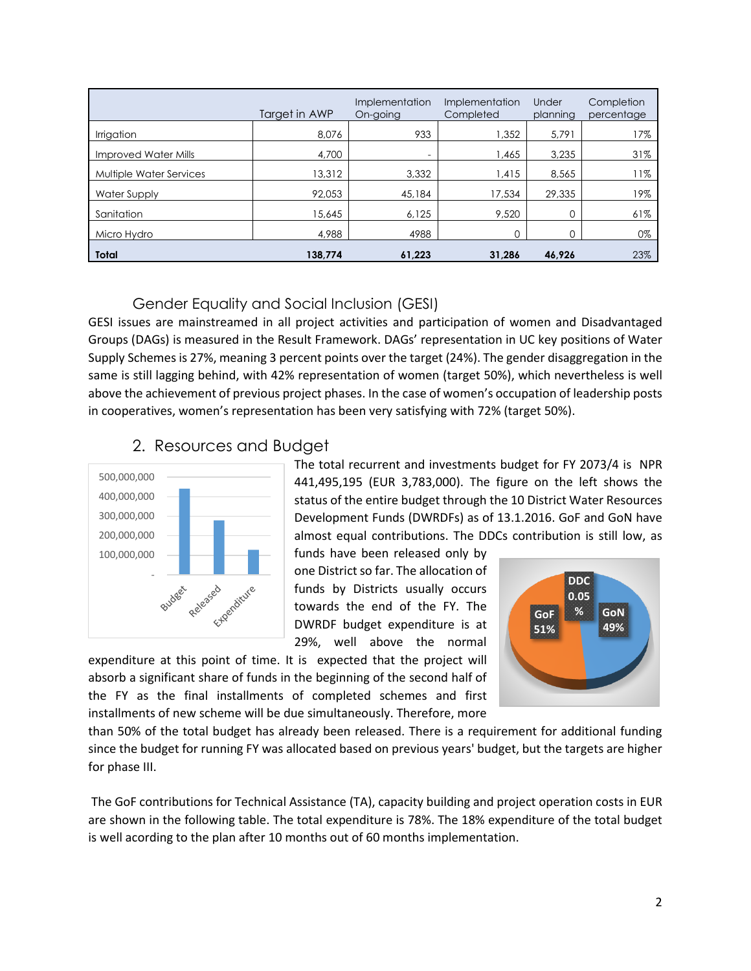|                             | Target in AWP | Implementation<br>On-going | Implementation<br>Completed | Under<br>planning | Completion<br>percentage |
|-----------------------------|---------------|----------------------------|-----------------------------|-------------------|--------------------------|
| Irrigation                  | 8.076         | 933                        | 1,352                       | 5.791             | 17%                      |
| <b>Improved Water Mills</b> | 4,700         | $\overline{\phantom{0}}$   | 1,465                       | 3,235             | 31%                      |
| Multiple Water Services     | 13,312        | 3,332                      | 1,415                       | 8,565             | 11%                      |
| Water Supply                | 92,053        | 45,184                     | 17,534                      | 29,335            | 19%                      |
| Sanitation                  | 15,645        | 6,125                      | 9,520                       |                   | 61%                      |
| Micro Hydro                 | 4,988         | 4988                       | 0                           |                   | 0%                       |
| <b>Total</b>                | 138.774       | 61.223                     | 31.286                      | 46.926            | 23%                      |

### Gender Equality and Social Inclusion (GESI)

GESI issues are mainstreamed in all project activities and participation of women and Disadvantaged Groups (DAGs) is measured in the Result Framework. DAGs' representation in UC key positions of Water Supply Schemes is 27%, meaning 3 percent points over the target (24%). The gender disaggregation in the same is still lagging behind, with 42% representation of women (target 50%), which nevertheless is well above the achievement of previous project phases. In the case of women's occupation of leadership posts in cooperatives, women's representation has been very satisfying with 72% (target 50%).

# 2. Resources and Budget



The total recurrent and investments budget for FY 2073/4 is NPR 441,495,195 (EUR 3,783,000). The figure on the left shows the status of the entire budget through the 10 District Water Resources Development Funds (DWRDFs) as of 13.1.2016. GoF and GoN have almost equal contributions. The DDCs contribution is still low, as

funds have been released only by one District so far. The allocation of funds by Districts usually occurs towards the end of the FY. The DWRDF budget expenditure is at 29%, well above the normal

expenditure at this point of time. It is expected that the project will absorb a significant share of funds in the beginning of the second half of the FY as the final installments of completed schemes and first installments of new scheme will be due simultaneously. Therefore, more



than 50% of the total budget has already been released. There is a requirement for additional funding since the budget for running FY was allocated based on previous years' budget, but the targets are higher for phase III.

The GoF contributions for Technical Assistance (TA), capacity building and project operation costs in EUR are shown in the following table. The total expenditure is 78%. The 18% expenditure of the total budget is well acording to the plan after 10 months out of 60 months implementation.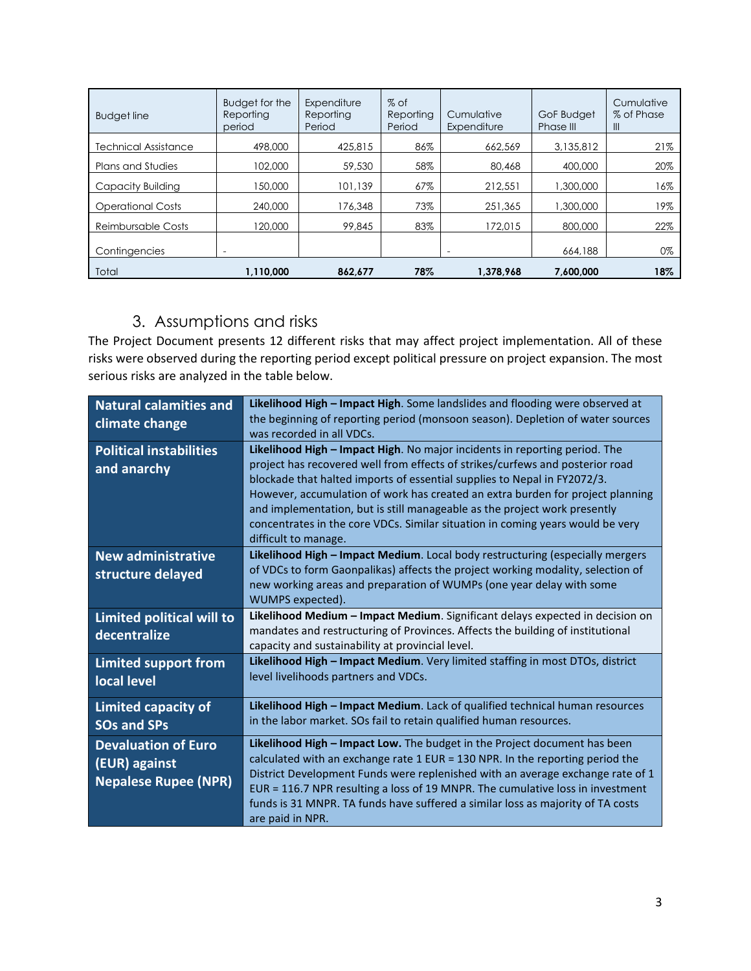| <b>Budget line</b>       | Budget for the<br>Reporting<br>period | Expenditure<br>Reporting<br>Period | $%$ of<br>Reporting<br>Period | Cumulative<br>Expenditure | GoF Budget<br>Phase III | Cumulative<br>% of Phase<br>$\mathbf{III}$ |
|--------------------------|---------------------------------------|------------------------------------|-------------------------------|---------------------------|-------------------------|--------------------------------------------|
| Technical Assistance     | 498,000                               | 425,815                            | 86%                           | 662.569                   | 3.135.812               | 21%                                        |
| <b>Plans and Studies</b> | 102.000                               | 59,530                             | 58%                           | 80,468                    | 400,000                 | 20%                                        |
| Capacity Building        | 150,000                               | 101.139                            | 67%                           | 212,551                   | 1,300,000               | 16%                                        |
| <b>Operational Costs</b> | 240,000                               | 176,348                            | 73%                           | 251,365                   | 1,300,000               | 19%                                        |
| Reimbursable Costs       | 120,000                               | 99,845                             | 83%                           | 172.015                   | 800,000                 | 22%                                        |
| Contingencies            | $\overline{\phantom{0}}$              |                                    |                               | $\overline{\phantom{a}}$  | 664,188                 | 0%                                         |
| Total                    | 1,110,000                             | 862.677                            | 78%                           | 1,378,968                 | 7.600.000               | 18%                                        |

# 3. Assumptions and risks

The Project Document presents 12 different risks that may affect project implementation. All of these risks were observed during the reporting period except political pressure on project expansion. The most serious risks are analyzed in the table below.

| <b>Natural calamities and</b><br>climate change                            | Likelihood High - Impact High. Some landslides and flooding were observed at<br>the beginning of reporting period (monsoon season). Depletion of water sources<br>was recorded in all VDCs.                                                                                                                                                                                                                                                                                                                      |
|----------------------------------------------------------------------------|------------------------------------------------------------------------------------------------------------------------------------------------------------------------------------------------------------------------------------------------------------------------------------------------------------------------------------------------------------------------------------------------------------------------------------------------------------------------------------------------------------------|
| <b>Political instabilities</b><br>and anarchy                              | Likelihood High - Impact High. No major incidents in reporting period. The<br>project has recovered well from effects of strikes/curfews and posterior road<br>blockade that halted imports of essential supplies to Nepal in FY2072/3.<br>However, accumulation of work has created an extra burden for project planning<br>and implementation, but is still manageable as the project work presently<br>concentrates in the core VDCs. Similar situation in coming years would be very<br>difficult to manage. |
| <b>New administrative</b><br>structure delayed                             | Likelihood High - Impact Medium. Local body restructuring (especially mergers<br>of VDCs to form Gaonpalikas) affects the project working modality, selection of<br>new working areas and preparation of WUMPs (one year delay with some<br>WUMPS expected).                                                                                                                                                                                                                                                     |
| Limited political will to<br>decentralize                                  | Likelihood Medium - Impact Medium. Significant delays expected in decision on<br>mandates and restructuring of Provinces. Affects the building of institutional<br>capacity and sustainability at provincial level.                                                                                                                                                                                                                                                                                              |
| <b>Limited support from</b><br>local level                                 | Likelihood High - Impact Medium. Very limited staffing in most DTOs, district<br>level livelihoods partners and VDCs.                                                                                                                                                                                                                                                                                                                                                                                            |
| <b>Limited capacity of</b><br><b>SOs and SPs</b>                           | Likelihood High - Impact Medium. Lack of qualified technical human resources<br>in the labor market. SOs fail to retain qualified human resources.                                                                                                                                                                                                                                                                                                                                                               |
| <b>Devaluation of Euro</b><br>(EUR) against<br><b>Nepalese Rupee (NPR)</b> | <b>Likelihood High – Impact Low.</b> The budget in the Project document has been<br>calculated with an exchange rate 1 EUR = 130 NPR. In the reporting period the<br>District Development Funds were replenished with an average exchange rate of 1<br>EUR = 116.7 NPR resulting a loss of 19 MNPR. The cumulative loss in investment<br>funds is 31 MNPR. TA funds have suffered a similar loss as majority of TA costs<br>are paid in NPR.                                                                     |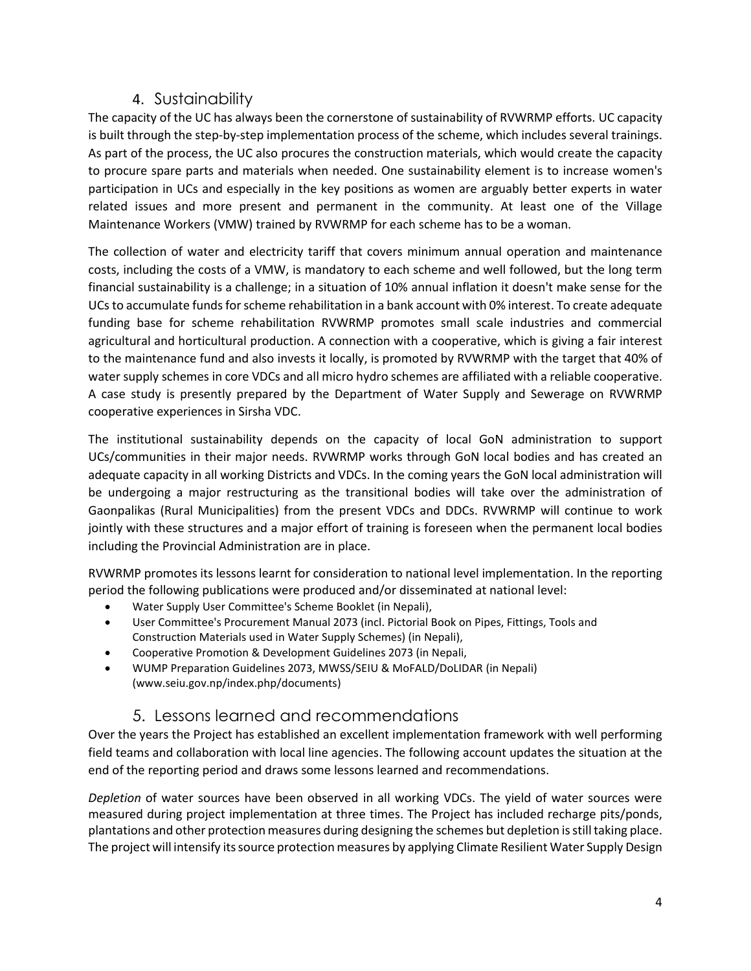# 4. Sustainability

The capacity of the UC has always been the cornerstone of sustainability of RVWRMP efforts. UC capacity is built through the step-by-step implementation process of the scheme, which includes several trainings. As part of the process, the UC also procures the construction materials, which would create the capacity to procure spare parts and materials when needed. One sustainability element is to increase women's participation in UCs and especially in the key positions as women are arguably better experts in water related issues and more present and permanent in the community. At least one of the Village Maintenance Workers (VMW) trained by RVWRMP for each scheme has to be a woman.

The collection of water and electricity tariff that covers minimum annual operation and maintenance costs, including the costs of a VMW, is mandatory to each scheme and well followed, but the long term financial sustainability is a challenge; in a situation of 10% annual inflation it doesn't make sense for the UCs to accumulate funds for scheme rehabilitation in a bank account with 0% interest. To create adequate funding base for scheme rehabilitation RVWRMP promotes small scale industries and commercial agricultural and horticultural production. A connection with a cooperative, which is giving a fair interest to the maintenance fund and also invests it locally, is promoted by RVWRMP with the target that 40% of water supply schemes in core VDCs and all micro hydro schemes are affiliated with a reliable cooperative. A case study is presently prepared by the Department of Water Supply and Sewerage on RVWRMP cooperative experiences in Sirsha VDC.

The institutional sustainability depends on the capacity of local GoN administration to support UCs/communities in their major needs. RVWRMP works through GoN local bodies and has created an adequate capacity in all working Districts and VDCs. In the coming years the GoN local administration will be undergoing a major restructuring as the transitional bodies will take over the administration of Gaonpalikas (Rural Municipalities) from the present VDCs and DDCs. RVWRMP will continue to work jointly with these structures and a major effort of training is foreseen when the permanent local bodies including the Provincial Administration are in place.

RVWRMP promotes its lessons learnt for consideration to national level implementation. In the reporting period the following publications were produced and/or disseminated at national level:

- Water Supply User Committee's Scheme Booklet (in Nepali),
- User Committee's Procurement Manual 2073 (incl. Pictorial Book on Pipes, Fittings, Tools and Construction Materials used in Water Supply Schemes) (in Nepali),
- Cooperative Promotion & Development Guidelines 2073 (in Nepali,
- WUMP Preparation Guidelines 2073, MWSS/SEIU & MoFALD/DoLIDAR (in Nepali) (www.seiu.gov.np/index.php/documents)

# 5. Lessons learned and recommendations

Over the years the Project has established an excellent implementation framework with well performing field teams and collaboration with local line agencies. The following account updates the situation at the end of the reporting period and draws some lessons learned and recommendations.

*Depletion* of water sources have been observed in all working VDCs. The yield of water sources were measured during project implementation at three times. The Project has included recharge pits/ponds, plantations and other protection measures during designing the schemes but depletion is still taking place. The project will intensify its source protection measures by applying Climate Resilient Water Supply Design